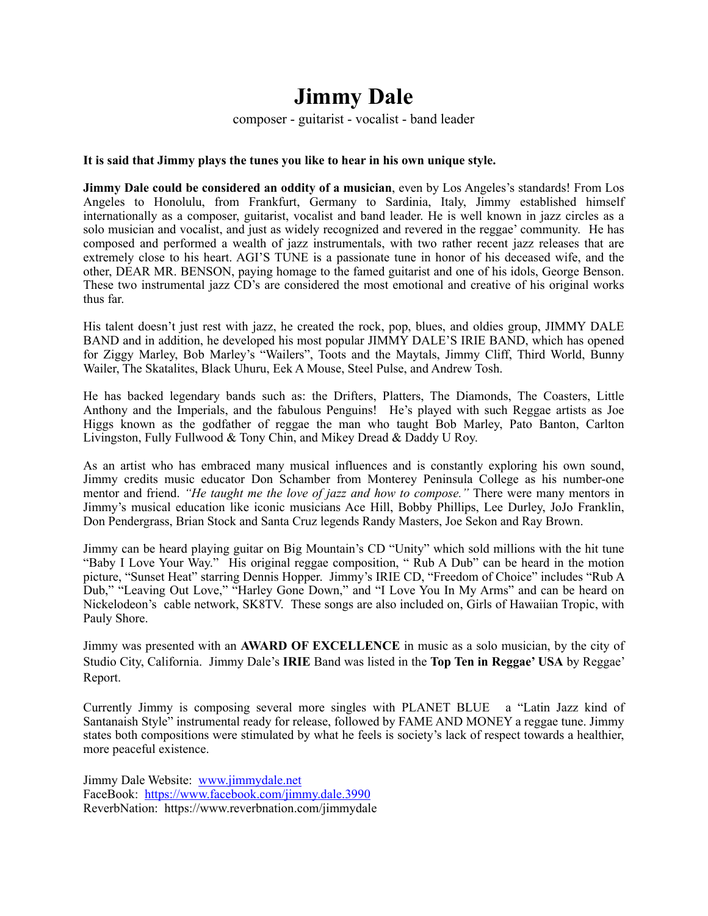## **Jimmy Dale**

composer - guitarist - vocalist - band leader

## **It is said that Jimmy plays the tunes you like to hear in his own unique style.**

**Jimmy Dale could be considered an oddity of a musician**, even by Los Angeles's standards! From Los Angeles to Honolulu, from Frankfurt, Germany to Sardinia, Italy, Jimmy established himself internationally as a composer, guitarist, vocalist and band leader. He is well known in jazz circles as a solo musician and vocalist, and just as widely recognized and revered in the reggae' community. He has composed and performed a wealth of jazz instrumentals, with two rather recent jazz releases that are extremely close to his heart. AGI'S TUNE is a passionate tune in honor of his deceased wife, and the other, DEAR MR. BENSON, paying homage to the famed guitarist and one of his idols, George Benson. These two instrumental jazz CD's are considered the most emotional and creative of his original works thus far.

His talent doesn't just rest with jazz, he created the rock, pop, blues, and oldies group, JIMMY DALE BAND and in addition, he developed his most popular JIMMY DALE'S IRIE BAND, which has opened for Ziggy Marley, Bob Marley's "Wailers", Toots and the Maytals, Jimmy Cliff, Third World, Bunny Wailer, The Skatalites, Black Uhuru, Eek A Mouse, Steel Pulse, and Andrew Tosh.

He has backed legendary bands such as: the Drifters, Platters, The Diamonds, The Coasters, Little Anthony and the Imperials, and the fabulous Penguins! He's played with such Reggae artists as Joe Higgs known as the godfather of reggae the man who taught Bob Marley, Pato Banton, Carlton Livingston, Fully Fullwood & Tony Chin, and Mikey Dread & Daddy U Roy.

As an artist who has embraced many musical influences and is constantly exploring his own sound, Jimmy credits music educator Don Schamber from Monterey Peninsula College as his number-one mentor and friend. *"He taught me the love of jazz and how to compose."* There were many mentors in Jimmy's musical education like iconic musicians Ace Hill, Bobby Phillips, Lee Durley, JoJo Franklin, Don Pendergrass, Brian Stock and Santa Cruz legends Randy Masters, Joe Sekon and Ray Brown.

Jimmy can be heard playing guitar on Big Mountain's CD "Unity" which sold millions with the hit tune "Baby I Love Your Way." His original reggae composition, " Rub A Dub" can be heard in the motion picture, "Sunset Heat" starring Dennis Hopper. Jimmy's IRIE CD, "Freedom of Choice" includes "Rub A Dub," "Leaving Out Love," "Harley Gone Down," and "I Love You In My Arms" and can be heard on Nickelodeon's cable network, SK8TV. These songs are also included on, Girls of Hawaiian Tropic, with Pauly Shore.

Jimmy was presented with an **AWARD OF EXCELLENCE** in music as a solo musician, by the city of Studio City, California. Jimmy Dale's **IRIE** Band was listed in the **Top Ten in Reggae' USA** by Reggae' Report.

Currently Jimmy is composing several more singles with PLANET BLUE a "Latin Jazz kind of Santanaish Style" instrumental ready for release, followed by FAME AND MONEY a reggae tune. Jimmy states both compositions were stimulated by what he feels is society's lack of respect towards a healthier, more peaceful existence.

Jimmy Dale Website: [www.jimmydale.net](http://www.jimmydale.net) FaceBook: <https://www.facebook.com/jimmy.dale.3990> ReverbNation: https://www.reverbnation.com/jimmydale